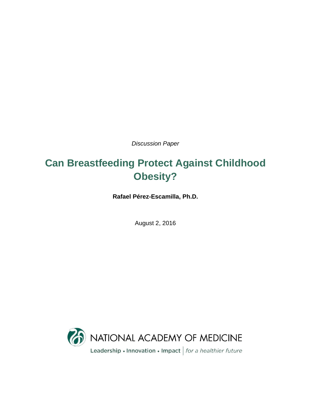*Discussion Paper*

# **Can Breastfeeding Protect Against Childhood Obesity?**

**Rafael Pérez-Escamilla, Ph.D.**

August 2, 2016

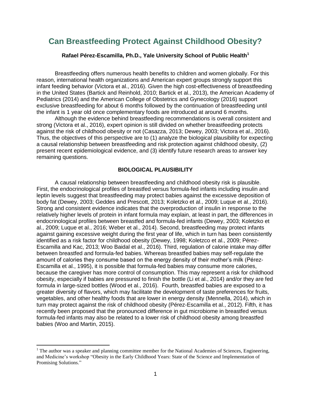# **Can Breastfeeding Protect Against Childhood Obesity?**

# **Rafael Pérez-Escamilla, Ph.D., Yale University School of Public Health<sup>1</sup>**

Breastfeeding offers numerous health benefits to children and women globally. For this reason, international health organizations and American expert groups strongly support this infant feeding behavior (Victora et al., 2016). Given the high cost-effectiveness of breastfeeding in the United States (Bartick and Reinhold, 2010; Bartick et al., 2013), the American Academy of Pediatrics (2014) and the American College of Obstetrics and Gynecology (2016) support exclusive breastfeeding for about 6 months followed by the continuation of breastfeeding until the infant is 1 year old once complementary foods are introduced at around 6 months.

Although the evidence behind breastfeeding recommendations is overall consistent and strong (Victora et al., 2016), expert opinion is still divided on whether breastfeeding protects against the risk of childhood obesity or not (Casazza, 2013; Dewey, 2003; Victora et al., 2016). Thus, the objectives of this perspective are to (1) analyze the biological plausibility for expecting a causal relationship between breastfeeding and risk protection against childhood obesity, (2) present recent epidemiological evidence, and (3) identify future research areas to answer key remaining questions.

#### **BIOLOGICAL PLAUSIBILITY**

A causal relationship between breastfeeding and childhood obesity risk is plausible. First, the endocrinological profiles of breastfed versus formula-fed infants including insulin and leptin levels suggest that breastfeeding may protect babies against the excessive deposition of body fat (Dewey, 2003; Geddes and Prescott, 2013; Koletzko et al., 2009; Luque et al., 2016). Strong and consistent evidence indicates that the overproduction of insulin in response to the relatively higher levels of protein in infant formula may explain, at least in part, the differences in endocrinological profiles between breastfed and formula-fed infants (Dewey, 2003; Koletzko et al., 2009; Luque et al., 2016; Weber et al., 2014). Second, breastfeeding may protect infants against gaining excessive weight during the first year of life, which in turn has been consistently identified as a risk factor for childhood obesity (Dewey, 1998; Koletzco et al., 2009; Pérez-Escamilla and Kac, 2013; Woo Baidal et al., 2016). Third, regulation of calorie intake may differ between breastfed and formula-fed babies. Whereas breastfed babies may self-regulate the amount of calories they consume based on the energy density of their mother's milk (Pérez-Escamilla et al., 1995), it is possible that formula-fed babies may consume more calories, because the caregiver has more control of consumption. This may represent a risk for childhood obesity, especially if babies are pressured to finish the bottle (Li et al., 2014) and/or they are fed formula in large-sized bottles (Wood et al., 2016). Fourth, breastfed babies are exposed to a greater diversity of flavors, which may facilitate the development of taste preferences for fruits, vegetables, and other healthy foods that are lower in energy density (Mennella, 2014), which in turn may protect against the risk of childhood obesity (Pérez-Escamilla et al., 2012). Fifth, it has recently been proposed that the pronounced difference in gut microbiome in breastfed versus formula-fed infants may also be related to a lower risk of childhood obesity among breastfed babies (Woo and Martin, 2015).

 $\overline{\phantom{a}}$ 

<sup>&</sup>lt;sup>1</sup> The author was a speaker and planning committee member for the National Academies of Sciences, Engineering, and Medicine's workshop "Obesity in the Early Childhood Years: State of the Science and Implementation of Promising Solutions."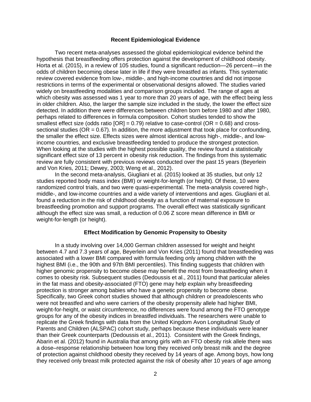#### **Recent Epidemiological Evidence**

Two recent meta-analyses assessed the global epidemiological evidence behind the hypothesis that breastfeeding offers protection against the development of childhood obesity. Horta et al. (2015), in a review of 105 studies, found a significant reduction—26 percent—in the odds of children becoming obese later in life if they were breastfed as infants. This systematic review covered evidence from low-, middle-, and high-income countries and did not impose restrictions in terms of the experimental or observational designs allowed. The studies varied widely on breastfeeding modalities and comparison groups included. The range of ages at which obesity was assessed was 1 year to more than 20 years of age, with the effect being less in older children. Also, the larger the sample size included in the study, the lower the effect size detected. In addition there were differences between children born before 1980 and after 1980, perhaps related to differences in formula composition. Cohort studies tended to show the smallest effect size (odds ratio  $[OR] = 0.79$ ) relative to case-control ( $OR = 0.68$ ) and crosssectional studies ( $OR = 0.67$ ). In addition, the more adjustment that took place for confounding. the smaller the effect size. Effects sizes were almost identical across high-, middle-, and lowincome countries, and exclusive breastfeeding tended to produce the strongest protection. When looking at the studies with the highest possible quality, the review found a statistically significant effect size of 13 percent in obesity risk reduction. The findings from this systematic review are fully consistent with previous reviews conducted over the past 15 years (Beyerlein and Von Kries, 2011; Dewey, 2003; Weng et al., 2012).

In the second meta-analysis, Giugliani et al. (2015) looked at 35 studies, but only 12 studies reported body mass index (BMI) or weight-for-length (or height). Of these, 10 were randomized control trials, and two were quasi-experimental. The meta-analysis covered high-, middle-, and low-income countries and a wide variety of interventions and ages. Giugliani et al. found a reduction in the risk of childhood obesity as a function of maternal exposure to breastfeeding promotion and support programs. The overall effect was statistically significant although the effect size was small, a reduction of 0.06 Z score mean difference in BMI or weight-for-length (or height).

#### **Effect Modification by Genomic Propensity to Obesity**

In a study involving over 14,000 German children assessed for weight and height between 4.7 and 7.3 years of age, Beyerlein and Von Kries (2011) found that breastfeeding was associated with a lower BMI compared with formula feeding only among children with the highest BMI (i.e., the 90th and 97th BMI percentiles). This finding suggests that children with higher genomic propensity to become obese may benefit the most from breastfeeding when it comes to obesity risk. Subsequent studies (Dedoussis et al., 2011) found that particular alleles in the fat mass and obesity-associated (FTO) gene may help explain why breastfeeding protection is stronger among babies who have a genetic propensity to become obese. Specifically, two Greek cohort studies showed that although children or preadolescents who were not breastfed and who were carriers of the obesity propensity allele had higher BMI, weight-for-height, or waist circumference, no differences were found among the FTO genotype groups for any of the obesity indices in breastfed individuals. The researchers were unable to replicate the Greek findings with data from the United Kingdom Avon Longitudinal Study of Parents and Children (ALSPAC) cohort study, perhaps because these individuals were leaner than their Greek counterparts (Dedoussis et al., 2011). Consistent with the Greek findings, Abarin et al. (2012) found in Australia that among girls with an FTO obesity risk allele there was a dose–response relationship between how long they received only breast milk and the degree of protection against childhood obesity they received by 14 years of age. Among boys, how long they received only breast milk protected against the risk of obesity after 10 years of age among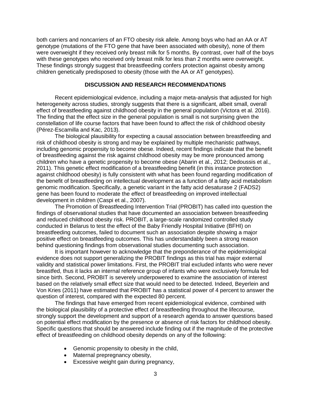both carriers and noncarriers of an FTO obesity risk allele. Among boys who had an AA or AT genotype (mutations of the FTO gene that have been associated with obesity), none of them were overweight if they received only breast milk for 5 months. By contrast, over half of the boys with these genotypes who received only breast milk for less than 2 months were overweight. These findings strongly suggest that breastfeeding confers protection against obesity among children genetically predisposed to obesity (those with the AA or AT genotypes).

## **DISCUSSION AND RESEARCH RECOMMENDATIONS**

Recent epidemiological evidence, including a major meta-analysis that adjusted for high heterogeneity across studies, strongly suggests that there is a significant, albeit small, overall effect of breastfeeding against childhood obesity in the general population (Victora et al. 2016). The finding that the effect size in the general population is small is not surprising given the constellation of life course factors that have been found to affect the risk of childhood obesity (Pérez-Escamilla and Kac, 2013).

The biological plausibility for expecting a causal association between breastfeeding and risk of childhood obesity is strong and may be explained by multiple mechanistic pathways, including genomic propensity to become obese. Indeed, recent findings indicate that the benefit of breastfeeding against the risk against childhood obesity may be more pronounced among children who have a genetic propensity to become obese (Abarin et al., 2012; Dedoussis et al., 2011). This genetic effect modification of a breastfeeding benefit (in this instance protection against childhood obesity) is fully consistent with what has been found regarding modification of the benefit of breastfeeding on intellectual development as a function of a fatty acid metabolism genomic modification. Specifically, a genetic variant in the fatty acid desaturase 2 (FADS2) gene has been found to moderate the effect of breastfeeding on improved intellectual development in children (Caspi et al., 2007).

The Promotion of Breastfeeding Intervention Trial (PROBIT) has called into question the findings of observational studies that have documented an association between breastfeeding and reduced childhood obesity risk. PROBIT, a large-scale randomized controlled study conducted in Belarus to test the effect of the Baby Friendly Hospital Initiative (BFHI) on breastfeeding outcomes, failed to document such an association despite showing a major positive effect on breastfeeding outcomes. This has understandably been a strong reason behind questioning findings from observational studies documenting such association.

It is important however to acknowledge that the preponderance of the epidemiological evidence does not support generalizing the PROBIT findings as this trial has major external validity and statistical power limitations. First, the PROBIT trial excluded infants who were never breastfed, thus it lacks an internal reference group of infants who were exclusively formula fed since birth. Second, PROBIT is severely underpowered to examine the association of interest based on the relatively small effect size that would need to be detected. Indeed, Beyerlein and Von Kries (2011) have estimated that PROBIT has a statistical power of 4 percent to answer the question of interest, compared with the expected 80 percent.

The findings that have emerged from recent epidemiological evidence, combined with the biological plausibility of a protective effect of breastfeeding throughout the lifecourse, strongly support the development and support of a research agenda to answer questions based on potential effect modification by the presence or absence of risk factors for childhood obesity. Specific questions that should be answered include finding out if the magnitude of the protective effect of breastfeeding on childhood obesity depends on any of the following:

- Genomic propensity to obesity in the child,
- Maternal prepregnancy obesity,
- Excessive weight gain during pregnancy,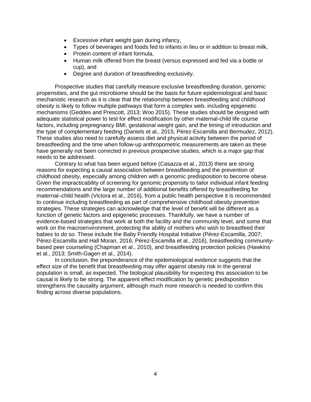- Excessive infant weight gain during infancy,
- Types of beverages and foods fed to infants in lieu or in addition to breast milk,
- Protein content of infant formula.
- Human milk offered from the breast (versus expressed and fed via a bottle or cup), and
- Degree and duration of breastfeeding exclusivity.

Prospective studies that carefully measure exclusive breastfeeding duration, genomic propensities, and the gut microbiome should be the basis for future epidemiological and basic mechanistic research as it is clear that the relationship between breastfeeding and childhood obesity is likely to follow multiple pathways that form a complex web, including epigenetic mechanisms (Geddes and Prescott, 2013; Woo 2015). These studies should be designed with adequate statistical power to test for effect modification by other maternal-child life course factors, including prepregnancy BMI, gestational weight gain, and the timing of introduction and the type of complementary feeding (Daniels et al., 2015; Pérez-Escamilla and Bermudez, 2012). These studies also need to carefully assess diet and physical activity between the period of breastfeeding and the time when follow-up anthropometric measurements are taken as these have generally not been corrected in previous prospective studies, which is a major gap that needs to be addressed.

Contrary to what has been argued before (Casazza et al., 2013) there are strong reasons for expecting a causal association between breastfeeding and the prevention of childhood obesity, especially among children with a genomic predisposition to become obese. Given the impracticability of screening for genomic propensity to tailor individual infant feeding recommendations and the large number of additional benefits offered by breastfeeding for maternal–child health (Victora et al., 2016), from a public health perspective it is recommended to continue including breastfeeding as part of comprehensive childhood obesity prevention strategies. These strategies can acknowledge that the level of benefit will be different as a function of genetic factors and epigenetic processes. Thankfully, we have a number of evidence-based strategies that work at both the facility and the community level, and some that work on the macroenvironment, protecting the ability of mothers who wish to breastfeed their babies to do so. These include the Baby Friendly Hospital Initiative (Pérez-Escamilla, 2007; Pérez-Escamilla and Hall Moran, 2016; Pérez-Escamilla et al., 2016), breastfeeding communitybased peer counseling (Chapman et al., 2010), and breastfeeding protection policies (Hawkins et al., 2013; Smith-Gagen et al., 2014).

In conclusion, the preponderance of the epidemiological evidence suggests that the effect size of the benefit that breastfeeding may offer against obesity risk in the general population is small, as expected. The biological plausibility for expecting this association to be causal is likely to be strong. The apparent effect modification by genetic predisposition strengthens the causality argument, although much more research is needed to confirm this finding across diverse populations.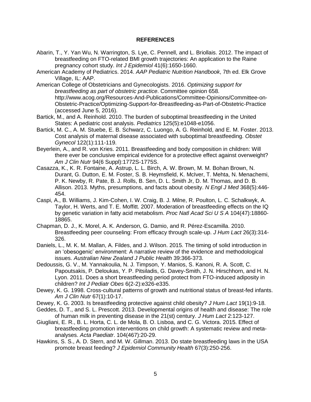# **REFERENCES**

- Abarin, T., Y. Yan Wu, N. Warrington, S. Lye, C. Pennell, and L. Briollais. 2012. The impact of breastfeeding on FTO-related BMI growth trajectories: An application to the Raine pregnancy cohort study. *Int J Epidemiol* 41(6):1650-1660.
- American Academy of Pediatrics. 2014. *AAP Pediatric Nutrition Handbook*, 7th ed. Elk Grove Village, IL: AAP.
- American College of Obstetricians and Gynecologists. 2016. *Optimizing support for breastfeeding as part of obstetric practice*. Committee opinion 658. http://www.acog.org/Resources-And-Publications/Committee-Opinions/Committee-on-Obstetric-Practice/Optimizing-Support-for-Breastfeeding-as-Part-of-Obstetric-Practice (accessed June 5, 2016).
- Bartick, M., and A. Reinhold. 2010. The burden of suboptimal breastfeeding in the United States: A pediatric cost analysis. *Pediatrics* 125(5):e1048-e1056.
- Bartick, M. C., A. M. Stuebe, E. B. Schwarz, C. Luongo, A. G. Reinhold, and E. M. Foster. 2013. Cost analysis of maternal disease associated with suboptimal breastfeeding. *Obstet Gynecol* 122(1):111-119.
- Beyerlein, A., and R. von Kries. 2011. Breastfeeding and body composition in children: Will there ever be conclusive empirical evidence for a protective effect against overweight? *Am J Clin Nutr* 94(6 Suppl):1772S-1775S.
- Casazza, K., K. R. Fontaine, A. Astrup, L. L. Birch, A. W. Brown, M. M. Bohan Brown, N. Durant, G. Dutton, E. M. Foster, S. B. Heymsfield, K. McIver, T. Mehta, N. Menachemi, P. K. Newby, R. Pate, B. J. Rolls, B. Sen, D. L. Smith Jr, D. M. Thomas, and D. B. Allison. 2013. Myths, presumptions, and facts about obesity. *N Engl J Med* 368(5):446- 454.
- Caspi, A., B. Williams, J. Kim-Cohen, I. W. Craig, B. J. Milne, R. Poulton, L. C. Schalkwyk, A. Taylor, H. Werts, and T. E. Moffitt. 2007. Moderation of breastfeeding effects on the IQ by genetic variation in fatty acid metabolism. *Proc Natl Acad Sci U S A* 104(47):18860- 18865.
- Chapman, D. J., K. Morel, A. K. Anderson, G. Damio, and R. Pérez-Escamilla. 2010. Breastfeeding peer counseling: From efficacy through scale-up. *J Hum Lact* 26(3):314- 326.
- Daniels, L., M. K. M. Mallan, A. Fildes, and J. Wilson. 2015. The timing of solid introduction in an 'obesogenic' environment: A narrative review of the evidence and methodological issues. *Australian New Zealand J Public Health* 39:366-373.
- Dedoussis, G. V., M. Yannakoulia, N. J. Timpson, Y. Manios, S. Kanoni, R. A. Scott, C. Papoutsakis, P. Deloukas, Y. P. Pitsiladis, G. Davey-Smith, J. N. Hirschhorn, and H. N. Lyon. 2011. Does a short breastfeeding period protect from FTO-induced adiposity in children? *Int J Pediatr Obes* 6(2-2):e326-e335.
- Dewey, K. G. 1998. Cross-cultural patterns of growth and nutritional status of breast-fed infants. *Am J Clin Nutr* 67(1):10-17.
- Dewey, K. G. 2003. Is breastfeeding protective against child obesity? *J Hum Lact* 19(1):9-18.
- Geddes, D. T., and S. L. Prescott. 2013. Developmental origins of health and disease: The role of human milk in preventing disease in the 21(st) century. *J Hum Lact* 2:123-127.
- Giugliani, E. R., B. L. Horta, C. L. de Mola, B. O. Lisboa, and C. G. Victora. 2015. Effect of breastfeeding promotion interventions on child growth: A systematic review and metaanalyses. *Acta Paediatr*. 104(467):20-29.
- Hawkins, S. S., A. D. Stern, and M. W. Gillman. 2013. Do state breastfeeding laws in the USA promote breast feeding? *J Epidemiol Community Health* 67(3):250-256.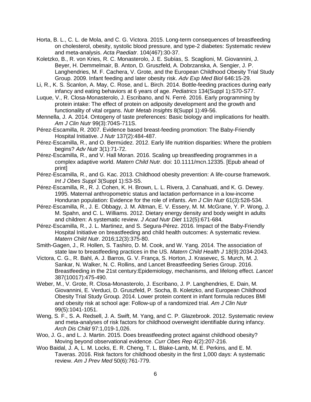- Horta, B. L., C. L. de Mola, and C. G. Victora. 2015. Long-term consequences of breastfeeding on cholesterol, obesity, systolic blood pressure, and type-2 diabetes: Systematic review and meta-analysis. *Acta Paediatr*. 104(467):30-37.
- Koletzko, B., R. von Kries, R. C. Monasterolo, J. E. Subías, S. Scaglioni, M. Giovannini, J. Beyer, H. Demmelmair, B. Anton, D. Gruszfeld, A. Dobrzanska, A. Sengier, J. P. Langhendries, M. F. Cachera, V. Grote, and the European Childhood Obesity Trial Study Group. 2009. Infant feeding and later obesity risk. *Adv Exp Med Biol* 646:15-29.
- Li, R., K. S. Scanlon, A. May, C. Rose, and L. Birch. 2014. Bottle-feeding practices during early infancy and eating behaviors at 6 years of age. *Pediatrics* 134(Suppl 1):S70-S77.
- Luque, V., R. Closa-Monasterolo, J. Escribano, and N. Ferré. 2016. Early programming by protein intake: The effect of protein on adiposity development and the growth and functionality of vital organs. *Nutr Metab Insights* 8(Suppl 1):49-56.
- Mennella, J. A. 2014. Ontogeny of taste preferences: Basic biology and implications for health. *Am J Clin Nutr* 99(3):704S-711S.
- Pérez-Escamilla, R. 2007. Evidence based breast-feeding promotion: The Baby-Friendly Hospital Initiative. *J Nutr* 137(2):484-487.
- Pérez-Escamilla, R., and O. Bermúdez. 2012. Early life nutrition disparities: Where the problem begins? *Adv Nutr* 3(1):71-72.
- Pérez-Escamilla, R., and V. Hall Moran. 2016. Scaling up breastfeeding programmes in a complex adaptive world. *Matern Child Nutr.* doi: 10.1111/mcn.12335. [Epub ahead of print]
- Pérez-Escamilla, R., and G. Kac. 2013. Childhood obesity prevention: A life-course framework. *Int J Obes Suppl* 3(Suppl 1):S3-S5.
- Pérez-Escamilla, R., R. J. Cohen, K. H. Brown, L. L. Rivera, J. Canahuati, and K. G. Dewey. 1995. Maternal anthropometric status and lactation performance in a low-income Honduran population: Evidence for the role of infants. *Am J Clin Nutr* 61(3):528-534.
- Pérez-Escamilla, R., J. E. Obbagy, J. M. Altman, E. V. Essery, M. M. McGrane, Y. P. Wong, J. M. Spahn, and C. L. Williams. 2012. Dietary energy density and body weight in adults and children: A systematic review. *J Acad Nutr Diet* 112(5):671-684.
- Pérez-Escamilla, R., J. L. Martinez, and S. Segura-Pérez. 2016. Impact of the Baby-Friendly Hospital Initiative on breastfeeding and child health outcomes: A systematic review. *Matern Child Nutr*. 2016;12(3):375-80.
- Smith-Gagen, J., R. Hollen, S. Tashiro, D. M. Cook, and W. Yang. 2014. The association of state law to breastfeeding practices in the US. *Matern Child Health J* 18(9):2034-2043.
- Victora, C. G., R. Bahl, A. J. Barros, G. V. França, S. Horton, J. Krasevec, S. Murch, M. J. Sankar, N. Walker, N. C. Rollins, and Lancet Breastfeeding Series Group. 2016. Breastfeeding in the 21st century:Epidemiology, mechanisms, and lifelong effect. *Lancet* 387(10017):475-490.
- Weber, M., V. Grote, R. Closa-Monasterolo, J. Escribano, J. P. Langhendries, E. Dain, M. Giovannini, E. Verduci, D. Gruszfeld, P. Socha, B. Koletzko, and European Childhood Obesity Trial Study Group. 2014. Lower protein content in infant formula reduces BMI and obesity risk at school age: Follow-up of a randomized trial. *Am J Clin Nutr* 99(5):1041-1051.
- Weng, S. F., S. A. Redsell, J. A. Swift, M. Yang, and C. P. Glazebrook. 2012. Systematic review and meta-analyses of risk factors for childhood overweight identifiable during infancy. *Arch Dis Child* 97:1,019-1,026.
- Woo, J. G., and L. J. Martin. 2015. Does breastfeeding protect against childhood obesity? Moving beyond observational evidence. *Curr Obes Rep* 4(2):207-216.
- Woo Baidal, J. A, L. M. Locks, E. R. Cheng, T. L. Blake-Lamb, M. E. Perkins, and E. M. Taveras. 2016. Risk factors for childhood obesity in the first 1,000 days: A systematic review. *Am J Prev Med* 50(6):761-779.